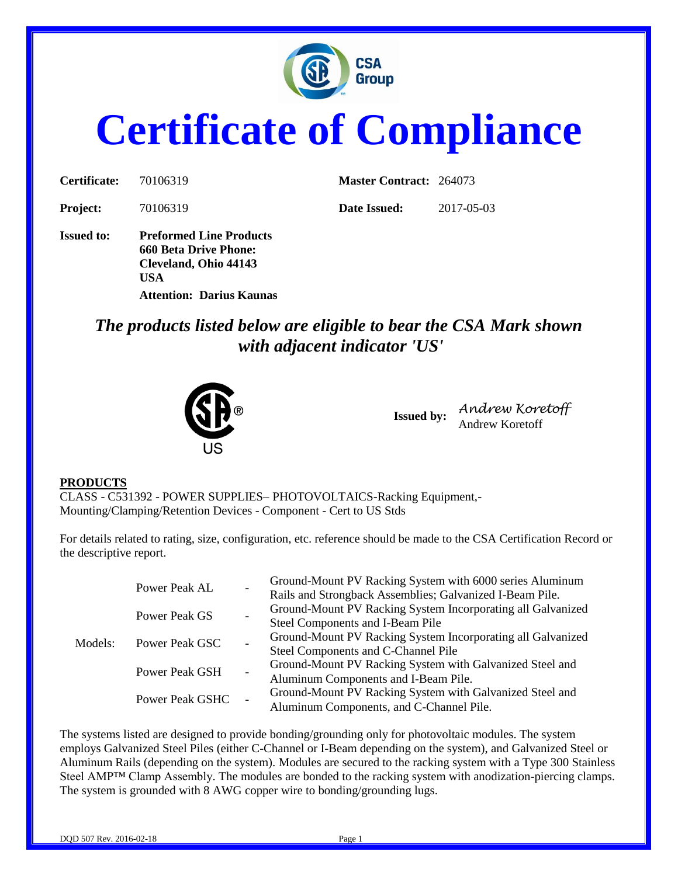

# **Certificate of Compliance**

| Certificate:      | 70106319                                                                                       | <b>Master Contract: 264073</b> |            |
|-------------------|------------------------------------------------------------------------------------------------|--------------------------------|------------|
| <b>Project:</b>   | 70106319                                                                                       | Date Issued:                   | 2017-05-03 |
| <b>Issued to:</b> | <b>Preformed Line Products</b><br><b>660 Beta Drive Phone:</b><br>Cleveland, Ohio 44143<br>USA |                                |            |

**Attention: Darius Kaunas**

*The products listed below are eligible to bear the CSA Mark shown with adjacent indicator 'US'*



**Issued by:** *Andrew Koretoff* Andrew Koretoff

#### **PRODUCTS**

CLASS - C531392 - POWER SUPPLIES– PHOTOVOLTAICS-Racking Equipment,- Mounting/Clamping/Retention Devices - Component - Cert to US Stds

For details related to rating, size, configuration, etc. reference should be made to the CSA Certification Record or the descriptive report.

| Models: | Power Peak AL         |  | Ground-Mount PV Racking System with 6000 series Aluminum<br>Rails and Strongback Assemblies; Galvanized I-Beam Pile. |
|---------|-----------------------|--|----------------------------------------------------------------------------------------------------------------------|
|         | Power Peak GS         |  | Ground-Mount PV Racking System Incorporating all Galvanized                                                          |
|         |                       |  | Steel Components and I-Beam Pile                                                                                     |
|         | Power Peak GSC        |  | Ground-Mount PV Racking System Incorporating all Galvanized                                                          |
|         |                       |  | Steel Components and C-Channel Pile                                                                                  |
|         | <b>Power Peak GSH</b> |  | Ground-Mount PV Racking System with Galvanized Steel and                                                             |
|         |                       |  | Aluminum Components and I-Beam Pile.                                                                                 |
|         | Power Peak GSHC       |  | Ground-Mount PV Racking System with Galvanized Steel and                                                             |
|         |                       |  | Aluminum Components, and C-Channel Pile.                                                                             |

The systems listed are designed to provide bonding/grounding only for photovoltaic modules. The system employs Galvanized Steel Piles (either C-Channel or I-Beam depending on the system), and Galvanized Steel or Aluminum Rails (depending on the system). Modules are secured to the racking system with a Type 300 Stainless Steel AMP™ Clamp Assembly. The modules are bonded to the racking system with anodization-piercing clamps. The system is grounded with 8 AWG copper wire to bonding/grounding lugs.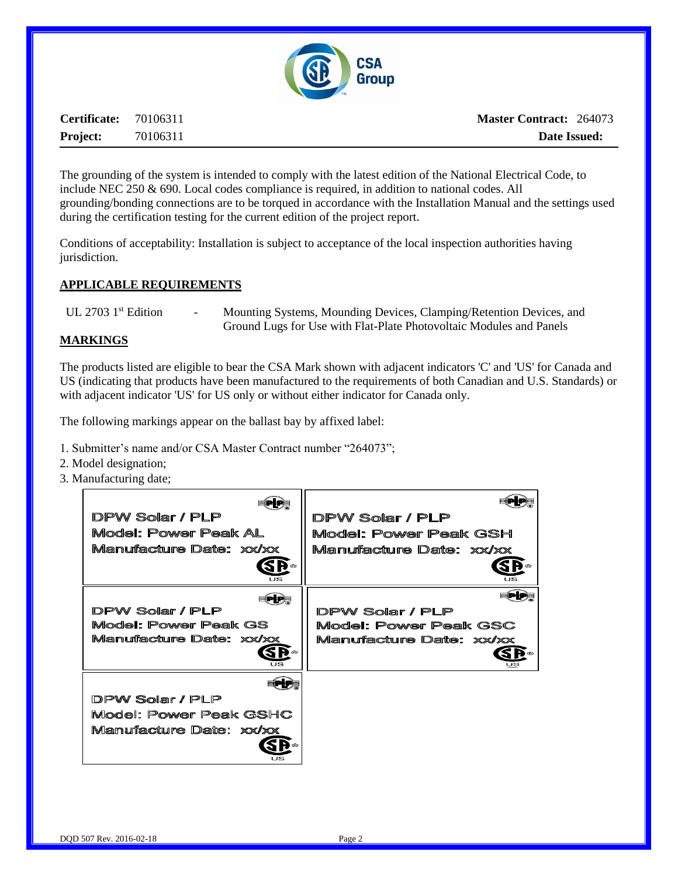

**Certificate:** 70106311 **Project:** 70106311

The grounding of the system is intended to comply with the latest edition of the National Electrical Code, to include NEC 250 & 690. Local codes compliance is required, in addition to national codes. All grounding/bonding connections are to be torqued in accordance with the Installation Manual and the settings used during the certification testing for the current edition of the project report.

Conditions of acceptability: Installation is subject to acceptance of the local inspection authorities having jurisdiction.

### **APPLICABLE REQUIREMENTS**

UL 2703 1<sup>st</sup> Edition - Mounting Systems, Mounding Devices, Clamping/Retention Devices, and Ground Lugs for Use with Flat-Plate Photovoltaic Modules and Panels

#### **MARKINGS**

The products listed are eligible to bear the CSA Mark shown with adjacent indicators 'C' and 'US' for Canada and US (indicating that products have been manufactured to the requirements of both Canadian and U.S. Standards) or with adjacent indicator 'US' for US only or without either indicator for Canada only.

The following markings appear on the ballast bay by affixed label:

- 1. Submitter's name and/or CSA Master Contract number "264073";
- 2. Model designation;
- 3. Manufacturing date;